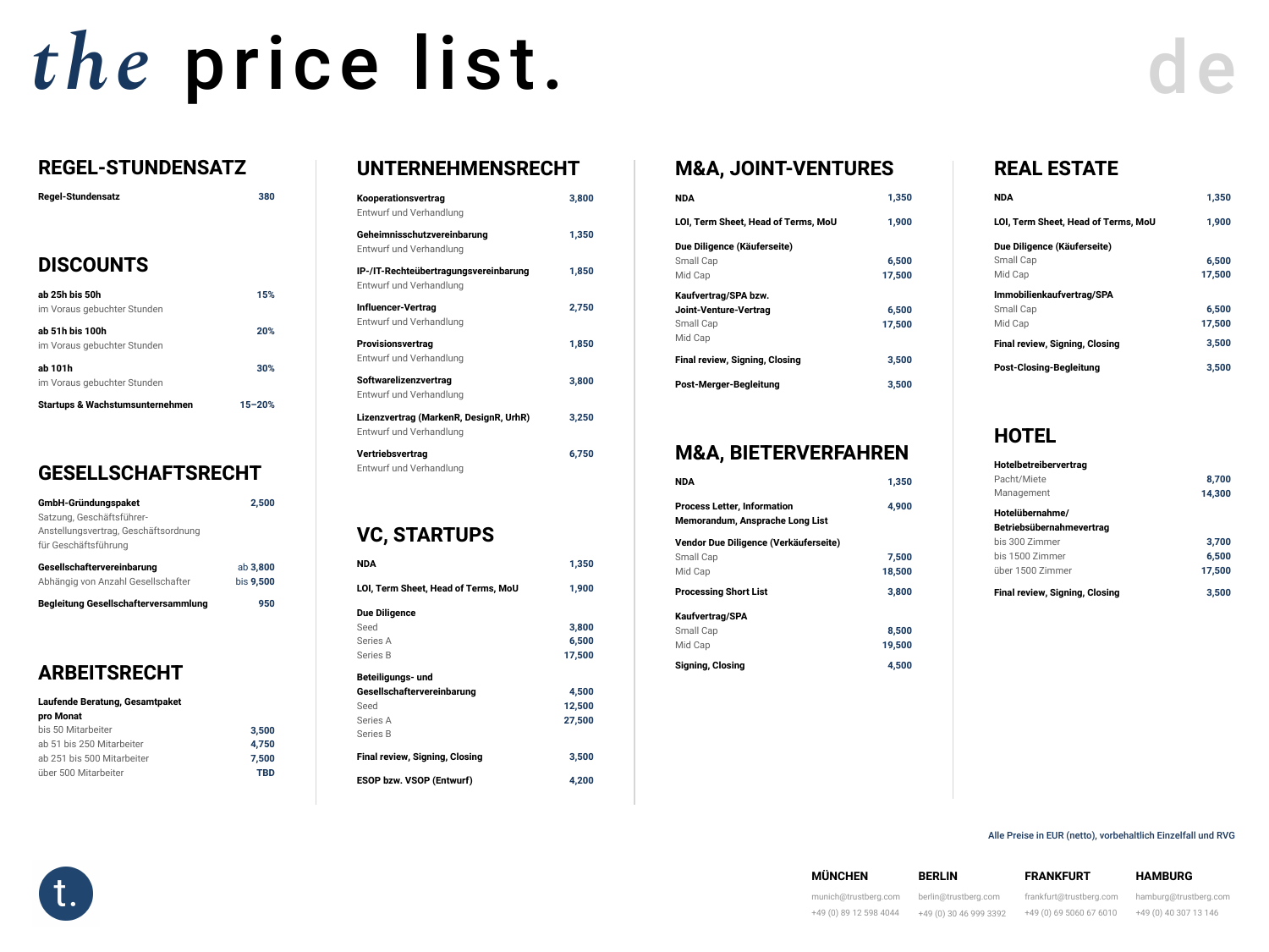# *the* price list.

### **REGEL-STUNDENSATZ**

| <b>Regel-Stundensatz</b> | 380 |
|--------------------------|-----|
|                          |     |

#### **DISCOUNTS**

| ab 25h bis 50h<br>im Voraus gebuchter Stunden  | 15%        |
|------------------------------------------------|------------|
| ab 51h bis 100h<br>im Voraus gebuchter Stunden | 20%        |
| ab 101h<br>im Voraus gebuchter Stunden         | 30%        |
| <b>Startups &amp; Wachstumsunternehmen</b>     | $15 - 20%$ |

#### **GESELLSCHAFTSRECHT**

| <b>GmbH-Gründungspaket</b>                  | 2,500            |
|---------------------------------------------|------------------|
| Satzung, Geschäftsführer-                   |                  |
| Anstellungsvertrag, Geschäftsordnung        |                  |
| für Geschäftsführung                        |                  |
| <b>Gesellschaftervereinbarung</b>           | ab 3,800         |
| Abhängig von Anzahl Gesellschafter          | <b>bis 9,500</b> |
| <b>Begleitung Gesellschafterversammlung</b> | 950              |

#### **ARBEITSRECHT**

| <b>Laufende Beratung, Gesamtpaket</b> |            |
|---------------------------------------|------------|
| pro Monat                             |            |
| bis 50 Mitarbeiter                    | 3,500      |
| ab 51 bis 250 Mitarbeiter             | 4,750      |
| ab 251 bis 500 Mitarbeiter            | 7,500      |
| über 500 Mitarbeiter                  | <b>TBD</b> |

#### **UNTERNEHMI**

## **M&A, JOINT-VENTURES**

#### **M&A, BIETERVERFAHREN**

| <b>NDA</b>                                                                   | 1,350  |
|------------------------------------------------------------------------------|--------|
| <b>Process Letter, Information</b><br><b>Memorandum, Ansprache Long List</b> | 4,900  |
| Vendor Due Diligence (Verkäuferseite)                                        |        |
| <b>Small Cap</b>                                                             | 7,500  |
| Mid Cap                                                                      | 18,500 |
| <b>Processing Short List</b>                                                 | 3,800  |
|                                                                              |        |
| <b>Kaufvertrag/SPA</b>                                                       |        |
| <b>Small Cap</b>                                                             | 8,500  |
| Mid Cap                                                                      | 19,500 |

| 3,800 | <b>NDA</b>                            | 1,350  |
|-------|---------------------------------------|--------|
|       | LOI, Term Sheet, Head of Terms, MoU   | 1,900  |
| 1,350 | Due Diligence (Käuferseite)           |        |
|       | <b>Small Cap</b>                      | 6,500  |
| 1,850 | Mid Cap                               | 17,500 |
|       | Kaufvertrag/SPA bzw.                  |        |
| 2,750 | <b>Joint-Venture-Vertrag</b>          | 6,500  |
|       | <b>Small Cap</b>                      | 17,500 |
| 1,850 | Mid Cap                               |        |
|       | <b>Final review, Signing, Closing</b> | 3,500  |
| 3,800 | <b>Post-Merger-Begleitung</b>         | 3,500  |
|       |                                       |        |
| 3,250 |                                       |        |

#### **FRANKFURT**

[frankfurt@trustberg.com](mailto:frankfurt@trustberg.com) +49 (0) 69 5060 67 6010

**Kooperationsvertrag**  Entwurf und Verhandlung

**Geheimnisschutzvereinbarung**  Entwurf und Verhandlung

**IP-/IT-Rechteübertragungsvereinbarung**  Entwurf und Verhandlung

**Influencer-Vertrag**  Entwurf und Verhandlung

**Provisionsvertrag**  Entwurf und Verhandlung

**Softwarelizenzvertrag**  Entwurf und Verhandlung

**Lizenzvertrag (MarkenR, DesignR, UrhR)**  Entwurf und Verhandlung

**Vertriebsvertrag**  Entwurf und Verhandlung

**6,750**

## **VC, STARTUPS**

**NDA 1,350**

LOI, Term Sheet, Head of Terms, MoU 1,900

**Due Diligence**  Seed Series A Series B

**3,800** 

**6,500** 

**17,500**

**Beteiligungs- und Gesellschaftervereinbarung**  Seed Series A Series B

**Final review, Signing, Closing 19th Closs 2,500** 

**4,500** 

**12,500** 

**27,500**

**ESOP bzw. VSOP (Entwurf) 4,200**



#### **MÜNCHEN**

[munich@trustberg.com](mailto:munich@trustberg.com) +49 (0) 89 12 598 4044

#### **BERLIN**

[berlin@trustberg.com](mailto:berlin@trustberg.com) +49 (0) 30 46 999 3392

#### **HAMBURG**

[hamburg@trustberg.com](mailto:hamburg@trustberg.com) +49 (0) 40 307 13 146

Alle Preise in EUR (netto), vorbehaltlich Einzelfall und RVG

#### **REAL ESTATE**

| <b>NDA</b>                                 | 1,350  |
|--------------------------------------------|--------|
| <b>LOI, Term Sheet, Head of Terms, MoU</b> | 1,900  |
| Due Diligence (Käuferseite)                |        |
| <b>Small Cap</b>                           | 6,500  |
| Mid Cap                                    | 17,500 |
| Immobilienkaufvertrag/SPA                  |        |
| <b>Small Cap</b>                           | 6,500  |
| Mid Cap                                    | 17,500 |
| <b>Final review, Signing, Closing</b>      | 3,500  |
| <b>Post-Closing-Begleitung</b>             | 3,500  |

#### **HOTEL**

| Hotelbetreibervertrag                 |        |
|---------------------------------------|--------|
| Pacht/Miete                           | 8,700  |
| Management                            | 14,300 |
| Hotelübernahme/                       |        |
| <b>Betriebsübernahmevertrag</b>       |        |
| bis 300 Zimmer                        | 3,700  |
| bis 1500 Zimmer                       | 6,500  |
| über 1500 Zimmer                      | 17,500 |
| <b>Final review, Signing, Closing</b> | 3,500  |